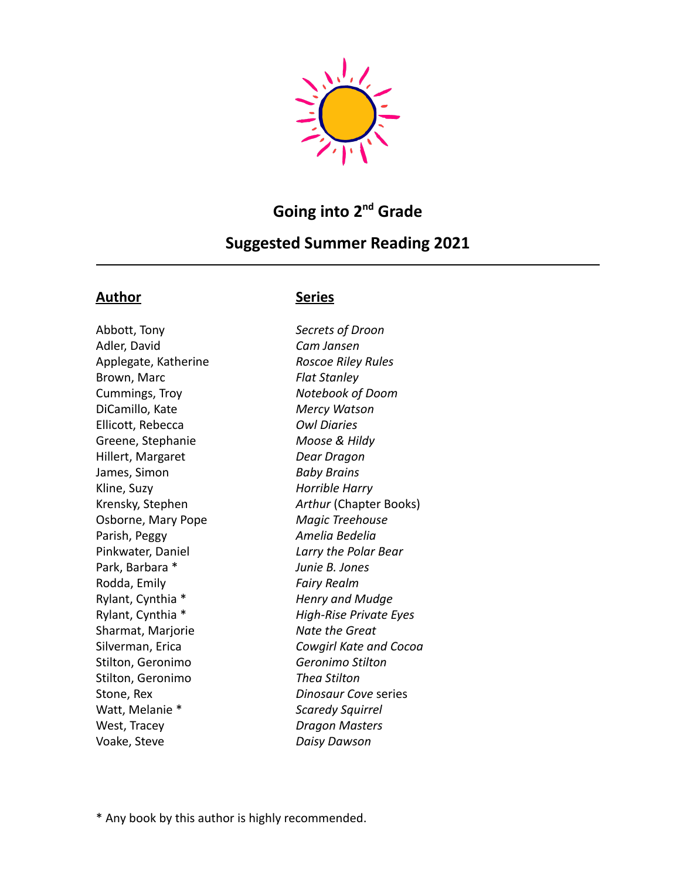

# Going into 2<sup>nd</sup> Grade

## **Suggested Summer Reading 2021**

#### **Author Series**

Abbott, Tony *Secrets of Droon* Adler, David *Cam Jansen* Applegate, Katherine *Roscoe Riley Rules* Brown, Marc *Flat Stanley* Cummings, Troy *Notebook of Doom* DiCamillo, Kate *Mercy Watson* Ellicott, Rebecca *Owl Diaries* Greene, Stephanie *Moose & Hildy* Hillert, Margaret *Dear Dragon* James, Simon *Baby Brains* Kline, Suzy *Horrible Harry* Osborne, Mary Pope *Magic Treehouse* Parish, Peggy *Amelia Bedelia* Pinkwater, Daniel *Larry the Polar Bear* Park, Barbara \* *Junie B. Jones* Rodda, Emily *Fairy Realm* Rylant, Cynthia \* *Henry and Mudge* Sharmat, Marjorie *Nate the Great* Stilton, Geronimo *Geronimo Stilton* Stilton, Geronimo *Thea Stilton* Stone, Rex *Dinosaur Cove* series Watt, Melanie \* *Scaredy Squirrel* West, Tracey *Dragon Masters* Voake, Steve *Daisy Dawson*

Krensky, Stephen *Arthur* (Chapter Books) Rylant, Cynthia \* *High-Rise Private Eyes* Silverman, Erica *Cowgirl Kate and Cocoa*

\* Any book by this author is highly recommended.